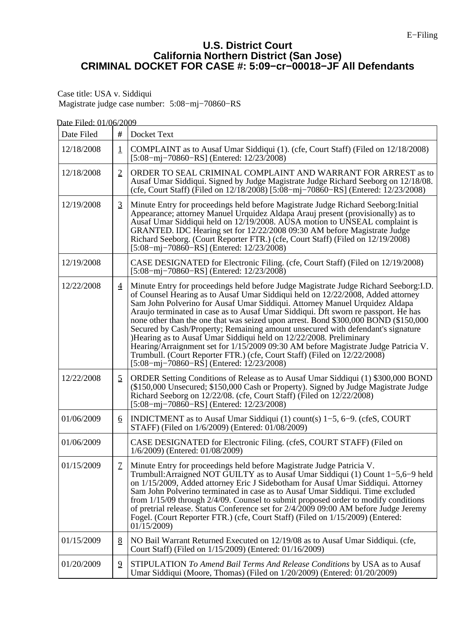## **U.S. District Court California Northern District (San Jose) CRIMINAL DOCKET FOR CASE #: 5:09−cr−00018−JF All Defendants**

Case title: USA v. Siddiqui Magistrate judge case number: 5:08−mj−70860−RS

| Date Filed: 01/06/2009 |                  |                                                                                                                                                                                                                                                                                                                                                                                                                                                                                                                                                                                                                                                                                                                                                                                                                     |
|------------------------|------------------|---------------------------------------------------------------------------------------------------------------------------------------------------------------------------------------------------------------------------------------------------------------------------------------------------------------------------------------------------------------------------------------------------------------------------------------------------------------------------------------------------------------------------------------------------------------------------------------------------------------------------------------------------------------------------------------------------------------------------------------------------------------------------------------------------------------------|
| Date Filed             | #                | Docket Text                                                                                                                                                                                                                                                                                                                                                                                                                                                                                                                                                                                                                                                                                                                                                                                                         |
| 12/18/2008             | $\mathbf 1$      | COMPLAINT as to Ausaf Umar Siddiqui (1). (cfe, Court Staff) (Filed on 12/18/2008)<br>[5:08-mj-70860-RS] (Entered: $12/23/2008$ )                                                                                                                                                                                                                                                                                                                                                                                                                                                                                                                                                                                                                                                                                    |
| 12/18/2008             | $\overline{2}$   | ORDER TO SEAL CRIMINAL COMPLAINT AND WARRANT FOR ARREST as to<br>Ausaf Umar Siddiqui. Signed by Judge Magistrate Judge Richard Seeborg on 12/18/08.<br>(cfe, Court Staff) (Filed on 12/18/2008) [5:08-mj-70860-RS] (Entered: 12/23/2008)                                                                                                                                                                                                                                                                                                                                                                                                                                                                                                                                                                            |
| 12/19/2008             | $\overline{3}$   | Minute Entry for proceedings held before Magistrate Judge Richard Seeborg: Initial<br>Appearance; attorney Manuel Urquidez Aldapa Arauj present (provisionally) as to<br>Ausaf Umar Siddiqui held on 12/19/2008. AUSA motion to UNSEAL complaint is<br>GRANTED. IDC Hearing set for 12/22/2008 09:30 AM before Magistrate Judge<br>Richard Seeborg. (Court Reporter FTR.) (cfe, Court Staff) (Filed on 12/19/2008)<br>[5:08-mj-70860-RS] (Entered: 12/23/2008)                                                                                                                                                                                                                                                                                                                                                      |
| 12/19/2008             |                  | CASE DESIGNATED for Electronic Filing. (cfe, Court Staff) (Filed on 12/19/2008)<br>$[5:08-mj-70860-RS]$ (Entered: $12/23/2008$ )                                                                                                                                                                                                                                                                                                                                                                                                                                                                                                                                                                                                                                                                                    |
| 12/22/2008             | $\overline{4}$   | Minute Entry for proceedings held before Judge Magistrate Judge Richard Seeborg: I.D.<br>of Counsel Hearing as to Ausaf Umar Siddiqui held on 12/22/2008, Added attorney<br>Sam John Polverino for Ausaf Umar Siddiqui. Attorney Manuel Urquidez Aldapa<br>Araujo terminated in case as to Ausaf Umar Siddiqui. Dft sworn re passport. He has<br>none other than the one that was seized upon arrest. Bond \$300,000 BOND (\$150,000)<br>Secured by Cash/Property; Remaining amount unsecured with defendant's signature<br>Hearing as to Ausaf Umar Siddiqui held on 12/22/2008. Preliminary<br>Hearing/Arraignment set for 1/15/2009 09:30 AM before Magistrate Judge Patricia V.<br>Trumbull. (Court Reporter FTR.) (cfe, Court Staff) (Filed on 12/22/2008)<br>$[5:08-mj-70860-R\bar{S}]$ (Entered: 12/23/2008) |
| 12/22/2008             | $\overline{2}$   | ORDER Setting Conditions of Release as to Ausaf Umar Siddiqui (1) \$300,000 BOND<br>(\$150,000 Unsecured; \$150,000 Cash or Property). Signed by Judge Magistrate Judge<br>Richard Seeborg on 12/22/08. (cfe, Court Staff) (Filed on 12/22/2008)<br>$[5:08-mj-70860-RS]$ (Entered: $12/23/2008$ )                                                                                                                                                                                                                                                                                                                                                                                                                                                                                                                   |
| 01/06/2009             | $6 \overline{6}$ | INDICTMENT as to Ausaf Umar Siddiqui (1) count(s) 1–5, 6–9. (cfeS, COURT<br>STAFF) (Filed on 1/6/2009) (Entered: 01/08/2009)                                                                                                                                                                                                                                                                                                                                                                                                                                                                                                                                                                                                                                                                                        |
| 01/06/2009             |                  | CASE DESIGNATED for Electronic Filing. (cfeS, COURT STAFF) (Filed on<br>1/6/2009) (Entered: 01/08/2009)                                                                                                                                                                                                                                                                                                                                                                                                                                                                                                                                                                                                                                                                                                             |
| 01/15/2009             | $\overline{1}$   | Minute Entry for proceedings held before Magistrate Judge Patricia V.<br>Trumbull: Arraigned NOT GUILTY as to Ausaf Umar Siddiqui $(1)$ Count $1-5,6-9$ held<br>on 1/15/2009, Added attorney Eric J Sidebotham for Ausaf Umar Siddiqui. Attorney<br>Sam John Polverino terminated in case as to Ausaf Umar Siddiqui. Time excluded<br>from $1/15/09$ through $2/4/09$ . Counsel to submit proposed order to modify conditions<br>of pretrial release. Status Conference set for 2/4/2009 09:00 AM before Judge Jeremy<br>Fogel. (Court Reporter FTR.) (cfe, Court Staff) (Filed on 1/15/2009) (Entered:<br>01/15/2009)                                                                                                                                                                                              |
| 01/15/2009             | 8                | NO Bail Warrant Returned Executed on 12/19/08 as to Ausaf Umar Siddiqui. (cfe,<br>Court Staff) (Filed on 1/15/2009) (Entered: 01/16/2009)                                                                                                                                                                                                                                                                                                                                                                                                                                                                                                                                                                                                                                                                           |
| 01/20/2009             | $\overline{2}$   | STIPULATION To Amend Bail Terms And Release Conditions by USA as to Ausaf<br>Umar Siddiqui (Moore, Thomas) (Filed on 1/20/2009) (Entered: 01/20/2009)                                                                                                                                                                                                                                                                                                                                                                                                                                                                                                                                                                                                                                                               |